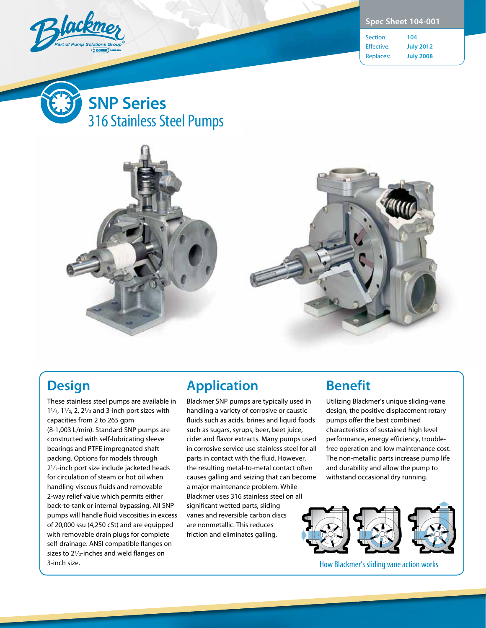

|  | <b>Spec Sheet 104-001</b> |  |  |
|--|---------------------------|--|--|
|--|---------------------------|--|--|

Section: **104** Effective: **July 2012** Replaces: **July 2008**







# **Design**

These stainless steel pumps are available in 1 $\frac{1}{4}$ , 1 $\frac{1}{2}$ , 2, 2 $\frac{1}{2}$  and 3-inch port sizes with capacities from 2 to 265 gpm (8-1,003 L/min). Standard SNP pumps are constructed with self-lubricating sleeve bearings and PTFE impregnated shaft packing. Options for models through 21 ⁄2-inch port size include jacketed heads for circulation of steam or hot oil when handling viscous fluids and removable 2-way relief value which permits either back-to-tank or internal bypassing. All SNP pumps will handle fluid viscosities in excess of 20,000 ssu (4,250 cSt) and are equipped with removable drain plugs for complete self-drainage. ANSI compatible flanges on sizes to 2<sup>1</sup>/<sub>2</sub>-inches and weld flanges on 3-inch size.

## **Application**

Blackmer SNP pumps are typically used in handling a variety of corrosive or caustic fluids such as acids, brines and liquid foods such as sugars, syrups, beer, beet juice, cider and flavor extracts. Many pumps used in corrosive service use stainless steel for all parts in contact with the fluid. However, the resulting metal-to-metal contact often causes galling and seizing that can become a major maintenance problem. While Blackmer uses 316 stainless steel on all significant wetted parts, sliding vanes and reversible carbon discs are nonmetallic. This reduces friction and eliminates galling.

# **Benefit**

Utilizing Blackmer's unique sliding-vane design, the positive displacement rotary pumps offer the best combined characteristics of sustained high level performance, energy efficiency, troublefree operation and low maintenance cost. The non-metallic parts increase pump life and durability and allow the pump to withstand occasional dry running.



How Blackmer's sliding vane action works